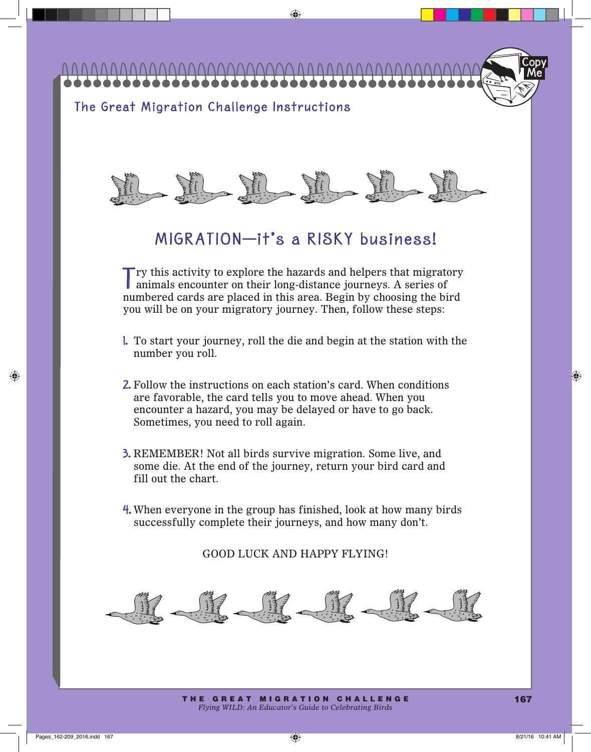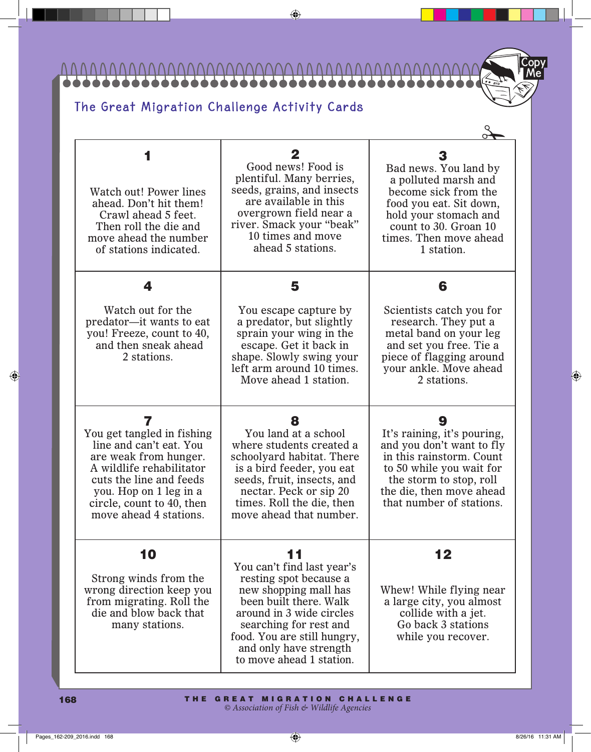$\overline{U} \overline{U}$ 1111111111111

Me Copy

## The Great Migration Challenge Activity Cards

| Watch out! Power lines<br>ahead. Don't hit them!<br>Crawl ahead 5 feet.<br>Then roll the die and<br>move ahead the number<br>of stations indicated.                                                                         | 2<br>Good news! Food is<br>plentiful. Many berries,<br>seeds, grains, and insects<br>are available in this<br>overgrown field near a<br>river. Smack your "beak"<br>10 times and move<br>ahead 5 stations.                                               | Bad news. You land by<br>a polluted marsh and<br>become sick from the<br>food you eat. Sit down,<br>hold your stomach and<br>count to 30. Groan 10<br>times. Then move ahead<br>1 station.               |
|-----------------------------------------------------------------------------------------------------------------------------------------------------------------------------------------------------------------------------|----------------------------------------------------------------------------------------------------------------------------------------------------------------------------------------------------------------------------------------------------------|----------------------------------------------------------------------------------------------------------------------------------------------------------------------------------------------------------|
| 4                                                                                                                                                                                                                           | 5                                                                                                                                                                                                                                                        | 6                                                                                                                                                                                                        |
| Watch out for the<br>predator----it wants to eat<br>you! Freeze, count to 40,<br>and then sneak ahead<br>2 stations.                                                                                                        | You escape capture by<br>a predator, but slightly<br>sprain your wing in the<br>escape. Get it back in<br>shape. Slowly swing your<br>left arm around 10 times.<br>Move ahead 1 station.                                                                 | Scientists catch you for<br>research. They put a<br>metal band on your leg<br>and set you free. Tie a<br>piece of flagging around<br>your ankle. Move ahead<br>2 stations.                               |
| 7<br>You get tangled in fishing<br>line and can't eat. You<br>are weak from hunger.<br>A wildlife rehabilitator<br>cuts the line and feeds<br>you. Hop on 1 leg in a<br>circle, count to 40, then<br>move ahead 4 stations. | 8<br>You land at a school<br>where students created a<br>schoolyard habitat. There<br>is a bird feeder, you eat<br>seeds, fruit, insects, and<br>nectar. Peck or sip 20<br>times. Roll the die, then<br>move ahead that number.                          | 9<br>It's raining, it's pouring,<br>and you don't want to fly<br>in this rainstorm. Count<br>to 50 while you wait for<br>the storm to stop, roll<br>the die, then move ahead<br>that number of stations. |
| 10<br>Strong winds from the<br>wrong direction keep you<br>from migrating. Roll the<br>die and blow back that<br>many stations.                                                                                             | 11<br>You can't find last year's<br>resting spot because a<br>new shopping mall has<br>been built there. Walk<br>around in 3 wide circles<br>searching for rest and<br>food. You are still hungry,<br>and only have strength<br>to move ahead 1 station. | 12<br>Whew! While flying near<br>a large city, you almost<br>collide with a jet.<br>Go back 3 stations<br>while you recover.                                                                             |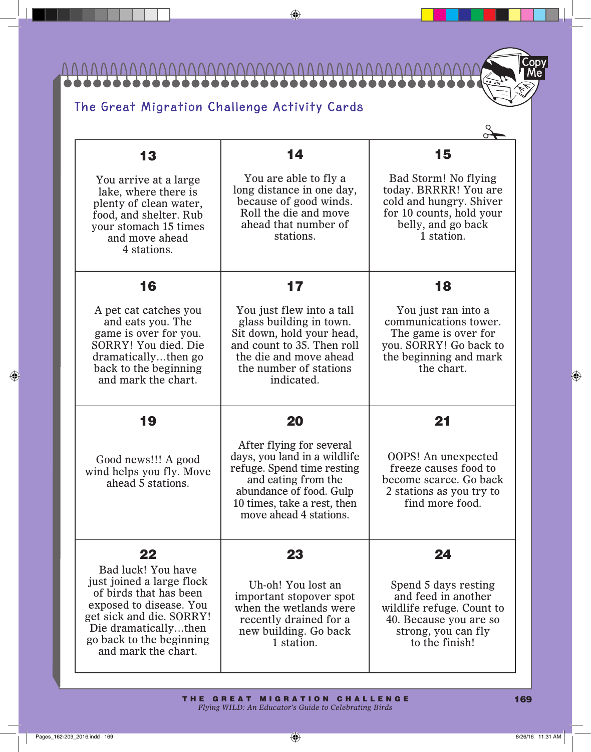111111111111 <u>N V V</u>

## The Great Migration Challenge Activity Cards

| 13                                                                                                                                                                                                          | 14                                                                                                                                                                                                | 15                                                                                                                                          |
|-------------------------------------------------------------------------------------------------------------------------------------------------------------------------------------------------------------|---------------------------------------------------------------------------------------------------------------------------------------------------------------------------------------------------|---------------------------------------------------------------------------------------------------------------------------------------------|
| You arrive at a large<br>lake, where there is<br>plenty of clean water,<br>food, and shelter. Rub<br>your stomach 15 times<br>and move ahead<br>4 stations.                                                 | You are able to fly a<br>long distance in one day,<br>because of good winds.<br>Roll the die and move<br>ahead that number of<br>stations.                                                        | Bad Storm! No flying<br>today. BRRRR! You are<br>cold and hungry. Shiver<br>for 10 counts, hold your<br>belly, and go back<br>1 station.    |
| 16                                                                                                                                                                                                          | 17                                                                                                                                                                                                | 18                                                                                                                                          |
| A pet cat catches you<br>and eats you. The<br>game is over for you.<br>SORRY! You died. Die<br>dramaticallythen go<br>back to the beginning<br>and mark the chart.                                          | You just flew into a tall<br>glass building in town.<br>Sit down, hold your head,<br>and count to 35. Then roll<br>the die and move ahead<br>the number of stations<br>indicated.                 | You just ran into a<br>communications tower.<br>The game is over for<br>you. SORRY! Go back to<br>the beginning and mark<br>the chart.      |
| 19                                                                                                                                                                                                          | 20                                                                                                                                                                                                | 21                                                                                                                                          |
| Good news!!! A good<br>wind helps you fly. Move<br>ahead 5 stations.                                                                                                                                        | After flying for several<br>days, you land in a wildlife<br>refuge. Spend time resting<br>and eating from the<br>abundance of food. Gulp<br>10 times, take a rest, then<br>move ahead 4 stations. | <b>OOPS!</b> An unexpected<br>freeze causes food to<br>become scarce. Go back<br>2 stations as you try to<br>find more food.                |
| 22                                                                                                                                                                                                          | 23                                                                                                                                                                                                | 24                                                                                                                                          |
| Bad luck! You have<br>just joined a large flock<br>of birds that has been<br>exposed to disease. You<br>get sick and die. SORRY!<br>Die dramaticallythen<br>go back to the beginning<br>and mark the chart. | Uh-oh! You lost an<br>important stopover spot<br>when the wetlands were<br>recently drained for a<br>new building. Go back<br>1 station.                                                          | Spend 5 days resting<br>and feed in another<br>wildlife refuge. Count to<br>40. Because you are so<br>strong, you can fly<br>to the finish! |

Me Copy